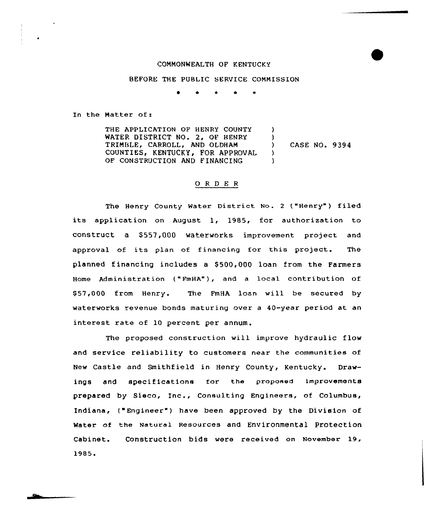## COMMONWEALTH OF KENTUCKY

#### BEFORE THE PUBLIC SERVICE CONNISSION

<sup>~</sup> \* \* \*

In the Hatter af:

THE APPLICATION OF HENRY COUNTY WATER DISTRICT NO. 2, OF HENRY TRIMBLE, CARROLL, AND OLDHAM COUNTIES, KENTUCKY, FOR APPROVAL OF CONSTRUCTION AND F INANCING )  $\left\{ \right\}$ ) CASE NO. 9394 ) )

## 0 <sup>R</sup> <sup>D</sup> E <sup>R</sup>

The Henry County Water District No. 2 ("Henry") filed its application on August 1, 1985, for authorization to construct a \$557,000 waterworks improvement project and approval of its plan of financing for this project. The planned financing includes a \$500,000 loan from the Farmers Home Administration ("FmHA"), and a local contribution of \$ 57,000 from Henry. The FmHA loan will be secured by waterworks revenue bonds maturing over a 40-year period at an interest rate of 10 percent per annum.

The proposed construction will improve hydraulic flow and service reliability to customers near the communities of New Castle and Smithfield in Henry County, Kentucky. Drawings and specifications for the proposed improvements prepared by Sieco, Inc., Consulting Engineers, of Columbus, Indiana, ("Engineer") have been approved by the Division of Water of the Natural Resources and Environmental protection Cabinet. 1985 Construction bids were received on November 19,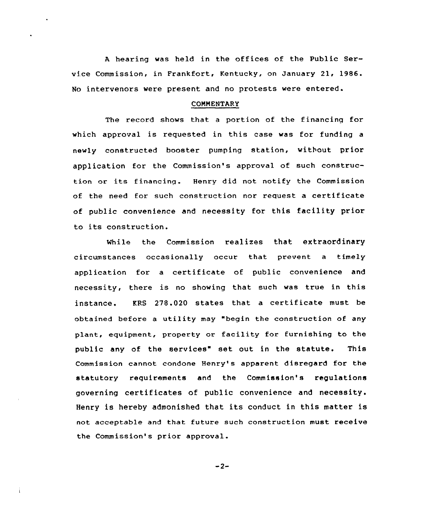<sup>A</sup> hearing was held in the offices of the Public Service Commission, in Frankfort, Kentucky, on January 21, 1986. No intervenors were present and no protests were entered.

### COMMENTARY

The record shows that a portion of the financinq for which approval is requested in this case was for funding a newly constructed booster pumping station, without prior application for the Commission's approval of such construction or its financing. Henry did not notify the Commission of the need for such construction nor request <sup>a</sup> certificate of public convenience and necessity for this facility prior to its construction.

While the Commission realizes that extraordinary circumstances occasionally occur that prevent a timely application for a certificate of public convenience and necessity, there is no showing that such was true in this instance. KRS 278.020 states that a certificate must be obtained before a utility may "begin the construction of any plant, equipment, property or facility for furnishing to the public any of the services" set out in the statute. This Commission cannot condone Henry's apparent disregard for the statutory requirements and the Commission's regulations governing certificates of public convenience and necessity. Henry is hereby admonished that its conduct in this matter is not acceptable and that future such construction must receive the Commission's prior approval.

 $-2-$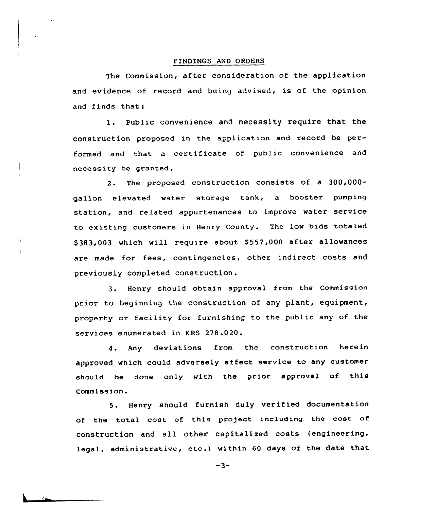#### FINDINGS AND ORDERS

The Commission, after consideration of the application and evidence of record and being advised, is of the opinion and finds that:

l. Public convenience and necessity require that the construction proposed in the application and record be performed and that a certificate of public convenience and necessity be granted.

2. The proposed construction consists of a 300,000gallon elevated water storage tank, a booster pumping station, and related appurtenances to improve water service to existing customers in Henry County. The low bids totaled \$383,003 which will require about \$557,000 after allowances are made for fees, contingencies, other indirect costs and previously completed construction.

 $\frac{1}{2}$ 

3. Henry should obtain approval from the Commission prior to beginning the construction of any plant, equipment, -<br>property or facility for furnishing to the public any of the services enumerated in KRS 278.020.

4. Any deviations from the construction herein approved which could adversely affect service to any customer should he done only with the prior approval of this Commission.

5. Henry should furnish duly verified documentation of the total cost of this project including the cost of construction and all other capitalized costs (engineering, legal, administrative, etc.) within <sup>60</sup> days of the date that

 $-3-$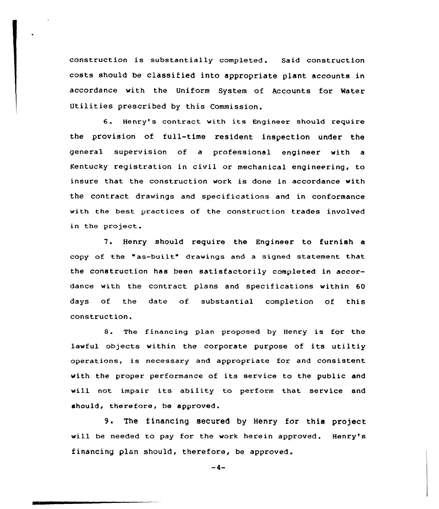construction is substantially completed. Said construction costs should be classified into appropriate plant accounts in accordance with the Uniform System of Accounts for Mater Utilities prescribed by this Commission.

6. Henry's contract with its Engineer should require the provision of full-time resident inspection under the general supervision of a professional engineer with a Kentucky registration in civil or mechanical engineering, to insure that the construction work is done in accordance with the contract drawings and specifications and in conformance with the best practices of the construction trades involved in the project.

7. Henry should require the Engineer to furnish <sup>a</sup> copy of the "as-built" drawings and <sup>a</sup> signed statement that the construction has been satisfactorily completed in accordance with the contract plans and specifications within 60 days of the date of substantial completion of this construction.

8. The financing plan proposed by Henry is for the lawful objects within the corporate purpose of its utiltiy operations, is necessary and appropriate for and consistent with the proper performance of its service to the public and will not impair its ability to perform that service and should, therefore, be approved.

9. The financing secured by Henry for this project will be needed to pay for the work herein approved. Henry's financing plan should, therefore, be approved.

 $-4-$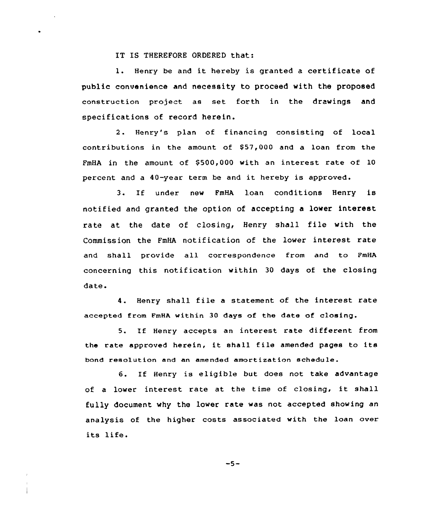# IT IS THEREFORE ORDERED that:

1. Henry be and it hereby is granted a certificate of public convenience and necessity to proceed with the proposed construction project as set forth in the drawings and specifications of record herein.

2. Henry's plan of financing consisting of local contributions in the amount of  $$57,000$  and a loan from the FmHA in the amount of \$500,000 with an interest rate of 10 percent and <sup>a</sup> 40-year term be and it hereby is approved.

3. If under nev FmHA loan conditions Henry is notified and granted the option of accepting a lower interest rate at the date of closing, Henry shall file with the Commission the FmHA notification of the lover interest rate and shall provide all correspondence from and to PmHA concerning this notification within 30 days of the closing date.

4. Henry shall file <sup>a</sup> statement of the interest rate accepted from FmHA within 30 days of the date of closing.

5. If Henry accepts an interest rate different from the rate approved herein, it shall file amended pages to its bond resolution and an amended amortization schedule.

6. If Henry is eligible but does not take advantage of <sup>a</sup> lower interest rate at the time of closing, it shall fully document why the lover rate was not accepted showing an analysis of the higher costs associated with the loan over its life.

 $-5-$